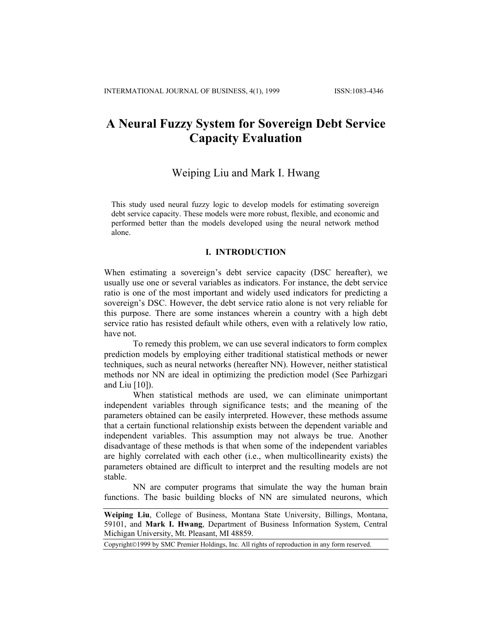# **A Neural Fuzzy System for Sovereign Debt Service Capacity Evaluation**

# Weiping Liu and Mark I. Hwang

This study used neural fuzzy logic to develop models for estimating sovereign debt service capacity. These models were more robust, flexible, and economic and performed better than the models developed using the neural network method alone.

## **I. INTRODUCTION**

When estimating a sovereign's debt service capacity (DSC hereafter), we usually use one or several variables as indicators. For instance, the debt service ratio is one of the most important and widely used indicators for predicting a sovereign's DSC. However, the debt service ratio alone is not very reliable for this purpose. There are some instances wherein a country with a high debt service ratio has resisted default while others, even with a relatively low ratio, have not.

To remedy this problem, we can use several indicators to form complex prediction models by employing either traditional statistical methods or newer techniques, such as neural networks (hereafter NN). However, neither statistical methods nor NN are ideal in optimizing the prediction model (See Parhizgari and Liu [10]).

When statistical methods are used, we can eliminate unimportant independent variables through significance tests; and the meaning of the parameters obtained can be easily interpreted. However, these methods assume that a certain functional relationship exists between the dependent variable and independent variables. This assumption may not always be true. Another disadvantage of these methods is that when some of the independent variables are highly correlated with each other (i.e., when multicollinearity exists) the parameters obtained are difficult to interpret and the resulting models are not stable.

NN are computer programs that simulate the way the human brain functions. The basic building blocks of NN are simulated neurons, which

**Weiping Liu**, College of Business, Montana State University, Billings, Montana, 59101, and **Mark I. Hwang**, Department of Business Information System, Central Michigan University, Mt. Pleasant, MI 48859.

Copyright©1999 by SMC Premier Holdings, Inc. All rights of reproduction in any form reserved.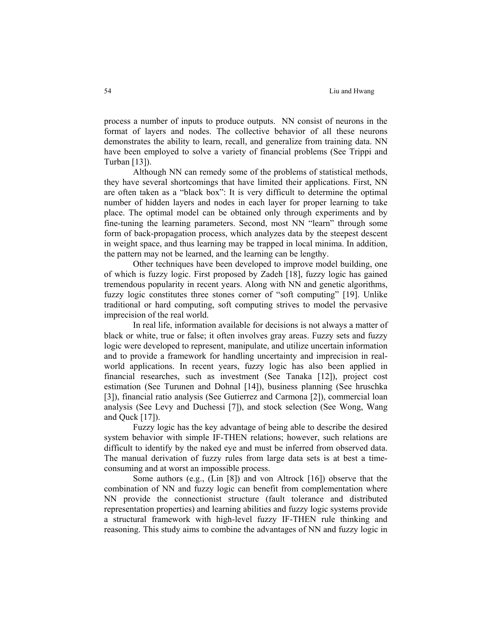process a number of inputs to produce outputs. NN consist of neurons in the format of layers and nodes. The collective behavior of all these neurons demonstrates the ability to learn, recall, and generalize from training data. NN have been employed to solve a variety of financial problems (See Trippi and Turban [13]).

Although NN can remedy some of the problems of statistical methods, they have several shortcomings that have limited their applications. First, NN are often taken as a "black box": It is very difficult to determine the optimal number of hidden layers and nodes in each layer for proper learning to take place. The optimal model can be obtained only through experiments and by fine-tuning the learning parameters. Second, most NN "learn" through some form of back-propagation process, which analyzes data by the steepest descent in weight space, and thus learning may be trapped in local minima. In addition, the pattern may not be learned, and the learning can be lengthy.

Other techniques have been developed to improve model building, one of which is fuzzy logic. First proposed by Zadeh [18], fuzzy logic has gained tremendous popularity in recent years. Along with NN and genetic algorithms, fuzzy logic constitutes three stones corner of "soft computing" [19]. Unlike traditional or hard computing, soft computing strives to model the pervasive imprecision of the real world.

In real life, information available for decisions is not always a matter of black or white, true or false; it often involves gray areas. Fuzzy sets and fuzzy logic were developed to represent, manipulate, and utilize uncertain information and to provide a framework for handling uncertainty and imprecision in realworld applications. In recent years, fuzzy logic has also been applied in financial researches, such as investment (See Tanaka [12]), project cost estimation (See Turunen and Dohnal [14]), business planning (See hruschka [3]), financial ratio analysis (See Gutierrez and Carmona [2]), commercial loan analysis (See Levy and Duchessi [7]), and stock selection (See Wong, Wang and Quck [17]).

Fuzzy logic has the key advantage of being able to describe the desired system behavior with simple IF-THEN relations; however, such relations are difficult to identify by the naked eye and must be inferred from observed data. The manual derivation of fuzzy rules from large data sets is at best a timeconsuming and at worst an impossible process.

Some authors (e.g., (Lin [8]) and von Altrock [16]) observe that the combination of NN and fuzzy logic can benefit from complementation where NN provide the connectionist structure (fault tolerance and distributed representation properties) and learning abilities and fuzzy logic systems provide a structural framework with high-level fuzzy IF-THEN rule thinking and reasoning. This study aims to combine the advantages of NN and fuzzy logic in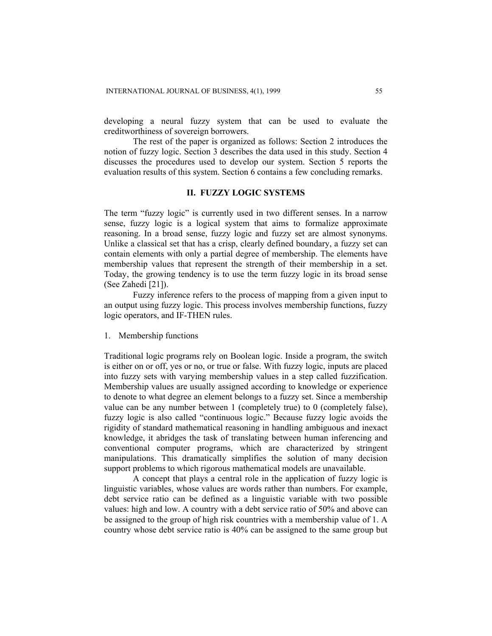developing a neural fuzzy system that can be used to evaluate the creditworthiness of sovereign borrowers.

The rest of the paper is organized as follows: Section 2 introduces the notion of fuzzy logic. Section 3 describes the data used in this study. Section 4 discusses the procedures used to develop our system. Section 5 reports the evaluation results of this system. Section 6 contains a few concluding remarks.

#### **II. FUZZY LOGIC SYSTEMS**

The term "fuzzy logic" is currently used in two different senses. In a narrow sense, fuzzy logic is a logical system that aims to formalize approximate reasoning. In a broad sense, fuzzy logic and fuzzy set are almost synonyms. Unlike a classical set that has a crisp, clearly defined boundary, a fuzzy set can contain elements with only a partial degree of membership. The elements have membership values that represent the strength of their membership in a set. Today, the growing tendency is to use the term fuzzy logic in its broad sense (See Zahedi [21]).

Fuzzy inference refers to the process of mapping from a given input to an output using fuzzy logic. This process involves membership functions, fuzzy logic operators, and IF-THEN rules.

1. Membership functions

Traditional logic programs rely on Boolean logic. Inside a program, the switch is either on or off, yes or no, or true or false. With fuzzy logic, inputs are placed into fuzzy sets with varying membership values in a step called fuzzification. Membership values are usually assigned according to knowledge or experience to denote to what degree an element belongs to a fuzzy set. Since a membership value can be any number between 1 (completely true) to 0 (completely false), fuzzy logic is also called "continuous logic." Because fuzzy logic avoids the rigidity of standard mathematical reasoning in handling ambiguous and inexact knowledge, it abridges the task of translating between human inferencing and conventional computer programs, which are characterized by stringent manipulations. This dramatically simplifies the solution of many decision support problems to which rigorous mathematical models are unavailable.

A concept that plays a central role in the application of fuzzy logic is linguistic variables, whose values are words rather than numbers. For example, debt service ratio can be defined as a linguistic variable with two possible values: high and low. A country with a debt service ratio of 50% and above can be assigned to the group of high risk countries with a membership value of 1. A country whose debt service ratio is 40% can be assigned to the same group but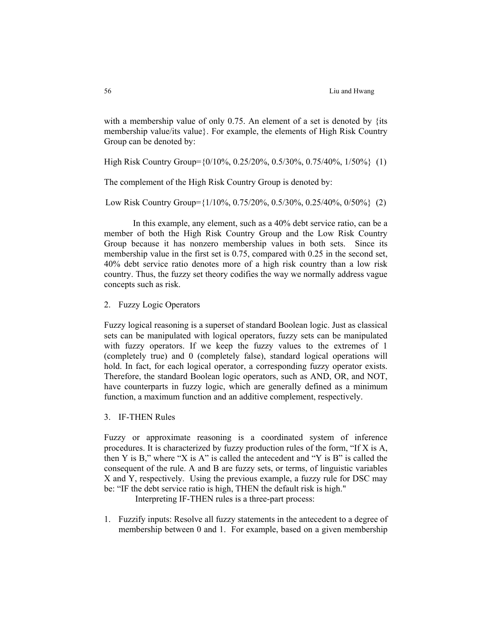with a membership value of only 0.75. An element of a set is denoted by {its membership value/its value}. For example, the elements of High Risk Country Group can be denoted by:

High Risk Country Group={0/10%, 0.25/20%, 0.5/30%, 0.75/40%, 1/50%} (1)

The complement of the High Risk Country Group is denoted by:

Low Risk Country Group={1/10%, 0.75/20%, 0.5/30%, 0.25/40%, 0/50%} (2)

In this example, any element, such as a 40% debt service ratio, can be a member of both the High Risk Country Group and the Low Risk Country Group because it has nonzero membership values in both sets. Since its membership value in the first set is 0.75, compared with 0.25 in the second set, 40% debt service ratio denotes more of a high risk country than a low risk country. Thus, the fuzzy set theory codifies the way we normally address vague concepts such as risk.

## 2. Fuzzy Logic Operators

Fuzzy logical reasoning is a superset of standard Boolean logic. Just as classical sets can be manipulated with logical operators, fuzzy sets can be manipulated with fuzzy operators. If we keep the fuzzy values to the extremes of 1 (completely true) and 0 (completely false), standard logical operations will hold. In fact, for each logical operator, a corresponding fuzzy operator exists. Therefore, the standard Boolean logic operators, such as AND, OR, and NOT, have counterparts in fuzzy logic, which are generally defined as a minimum function, a maximum function and an additive complement, respectively.

3. IF-THEN Rules

Fuzzy or approximate reasoning is a coordinated system of inference procedures. It is characterized by fuzzy production rules of the form, "If X is A, then Y is B," where "X is A" is called the antecedent and "Y is B" is called the consequent of the rule. A and B are fuzzy sets, or terms, of linguistic variables X and Y, respectively. Using the previous example, a fuzzy rule for DSC may be: "IF the debt service ratio is high, THEN the default risk is high."

Interpreting IF-THEN rules is a three-part process:

1. Fuzzify inputs: Resolve all fuzzy statements in the antecedent to a degree of membership between 0 and 1. For example, based on a given membership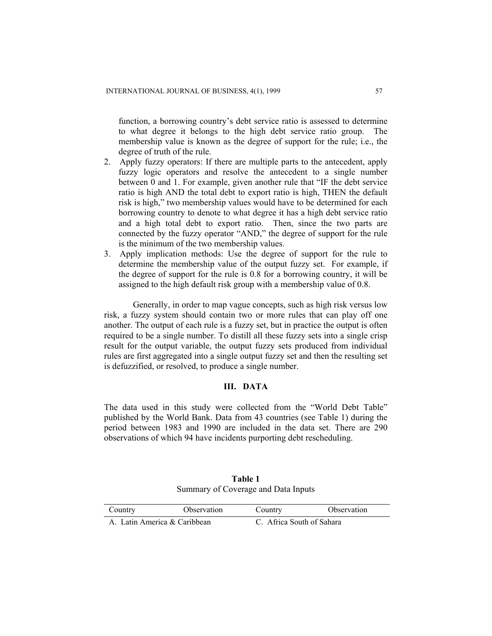function, a borrowing country's debt service ratio is assessed to determine to what degree it belongs to the high debt service ratio group. The membership value is known as the degree of support for the rule; i.e., the degree of truth of the rule.

- 2. Apply fuzzy operators: If there are multiple parts to the antecedent, apply fuzzy logic operators and resolve the antecedent to a single number between 0 and 1. For example, given another rule that "IF the debt service ratio is high AND the total debt to export ratio is high, THEN the default risk is high," two membership values would have to be determined for each borrowing country to denote to what degree it has a high debt service ratio and a high total debt to export ratio. Then, since the two parts are connected by the fuzzy operator "AND," the degree of support for the rule is the minimum of the two membership values.
- 3. Apply implication methods: Use the degree of support for the rule to determine the membership value of the output fuzzy set. For example, if the degree of support for the rule is 0.8 for a borrowing country, it will be assigned to the high default risk group with a membership value of 0.8.

Generally, in order to map vague concepts, such as high risk versus low risk, a fuzzy system should contain two or more rules that can play off one another. The output of each rule is a fuzzy set, but in practice the output is often required to be a single number. To distill all these fuzzy sets into a single crisp result for the output variable, the output fuzzy sets produced from individual rules are first aggregated into a single output fuzzy set and then the resulting set is defuzzified, or resolved, to produce a single number.

# **III. DATA**

The data used in this study were collected from the "World Debt Table" published by the World Bank. Data from 43 countries (see Table 1) during the period between 1983 and 1990 are included in the data set. There are 290 observations of which 94 have incidents purporting debt rescheduling.

| Table 1                             |  |
|-------------------------------------|--|
| Summary of Coverage and Data Inputs |  |

| Country                      | Observation | Country | Observation               |  |  |  |
|------------------------------|-------------|---------|---------------------------|--|--|--|
| A. Latin America & Caribbean |             |         | C. Africa South of Sahara |  |  |  |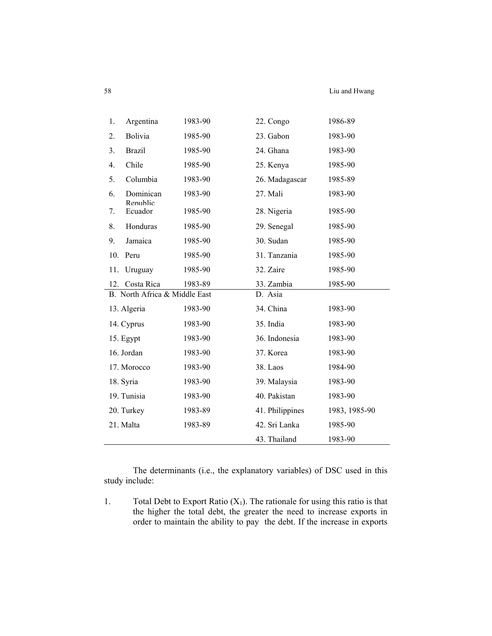| Argentina<br>1.               | 1983-90 | 22. Congo       | 1986-89       |
|-------------------------------|---------|-----------------|---------------|
| <b>Bolivia</b><br>2.          | 1985-90 | 23. Gabon       | 1983-90       |
| <b>Brazil</b><br>3.           | 1985-90 | 24. Ghana       | 1983-90       |
| Chile<br>4.                   | 1985-90 | 25. Kenya       | 1985-90       |
| 5.<br>Columbia                | 1983-90 | 26. Madagascar  | 1985-89       |
| Dominican<br>6.<br>Republic   | 1983-90 | 27. Mali        | 1983-90       |
| Ecuador<br>7.                 | 1985-90 | 28. Nigeria     | 1985-90       |
| Honduras<br>8.                | 1985-90 | 29. Senegal     | 1985-90       |
| Jamaica<br>9.                 | 1985-90 | 30. Sudan       | 1985-90       |
| 10. Peru                      | 1985-90 | 31. Tanzania    | 1985-90       |
| Uruguay<br>11.                | 1985-90 | 32. Zaire       | 1985-90       |
| Costa Rica<br>12.             | 1983-89 | 33. Zambia      | 1985-90       |
| B. North Africa & Middle East |         | D. Asia         |               |
| 13. Algeria                   | 1983-90 | 34. China       | 1983-90       |
| 14. Cyprus                    | 1983-90 | 35. India       | 1983-90       |
| 15. Egypt                     | 1983-90 | 36. Indonesia   | 1983-90       |
| 16. Jordan                    | 1983-90 | 37. Korea       | 1983-90       |
| 17. Morocco                   | 1983-90 | 38. Laos        | 1984-90       |
| 18. Syria                     | 1983-90 | 39. Malaysia    | 1983-90       |
| 19. Tunisia                   | 1983-90 | 40. Pakistan    | 1983-90       |
| 20. Turkey                    | 1983-89 | 41. Philippines | 1983, 1985-90 |
| 21. Malta                     | 1983-89 | 42. Sri Lanka   | 1985-90       |
|                               |         | 43. Thailand    | 1983-90       |

The determinants (i.e., the explanatory variables) of DSC used in this study include:

1. Total Debt to Export Ratio  $(X_1)$ . The rationale for using this ratio is that the higher the total debt, the greater the need to increase exports in order to maintain the ability to pay the debt. If the increase in exports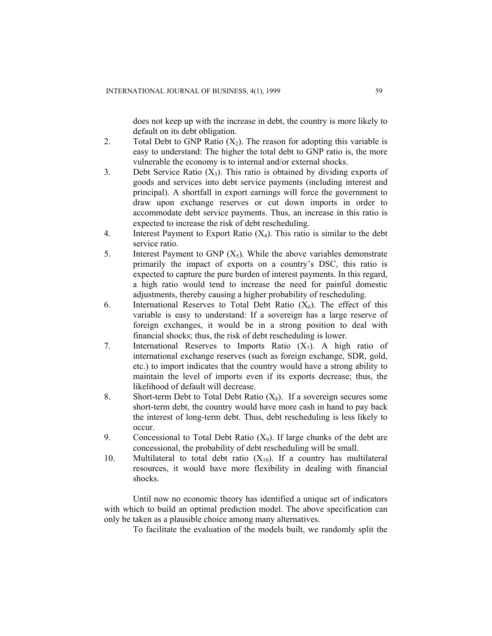does not keep up with the increase in debt, the country is more likely to default on its debt obligation.

- 2. Total Debt to GNP Ratio  $(X_2)$ . The reason for adopting this variable is easy to understand: The higher the total debt to GNP ratio is, the more vulnerable the economy is to internal and/or external shocks.
- 3. Debt Service Ratio  $(X_3)$ . This ratio is obtained by dividing exports of goods and services into debt service payments (including interest and principal). A shortfall in export earnings will force the government to draw upon exchange reserves or cut down imports in order to accommodate debt service payments. Thus, an increase in this ratio is expected to increase the risk of debt rescheduling.
- 4. Interest Payment to Export Ratio  $(X_4)$ . This ratio is similar to the debt service ratio.
- 5. Interest Payment to GNP  $(X_5)$ . While the above variables demonstrate primarily the impact of exports on a country's DSC, this ratio is expected to capture the pure burden of interest payments. In this regard, a high ratio would tend to increase the need for painful domestic adjustments, thereby causing a higher probability of rescheduling.
- 6. International Reserves to Total Debt Ratio  $(X_6)$ . The effect of this variable is easy to understand: If a sovereign has a large reserve of foreign exchanges, it would be in a strong position to deal with financial shocks; thus, the risk of debt rescheduling is lower.
- 7. International Reserves to Imports Ratio  $(X_7)$ . A high ratio of international exchange reserves (such as foreign exchange, SDR, gold, etc.) to import indicates that the country would have a strong ability to maintain the level of imports even if its exports decrease; thus, the likelihood of default will decrease.
- 8. Short-term Debt to Total Debt Ratio  $(X_8)$ . If a sovereign secures some short-term debt, the country would have more cash in hand to pay back the interest of long-term debt. Thus, debt rescheduling is less likely to occur.
- 9. Concessional to Total Debt Ratio  $(X_9)$ . If large chunks of the debt are concessional, the probability of debt rescheduling will be small.
- 10. Multilateral to total debt ratio  $(X_{10})$ . If a country has multilateral resources, it would have more flexibility in dealing with financial shocks.

Until now no economic theory has identified a unique set of indicators with which to build an optimal prediction model. The above specification can only be taken as a plausible choice among many alternatives.

To facilitate the evaluation of the models built, we randomly split the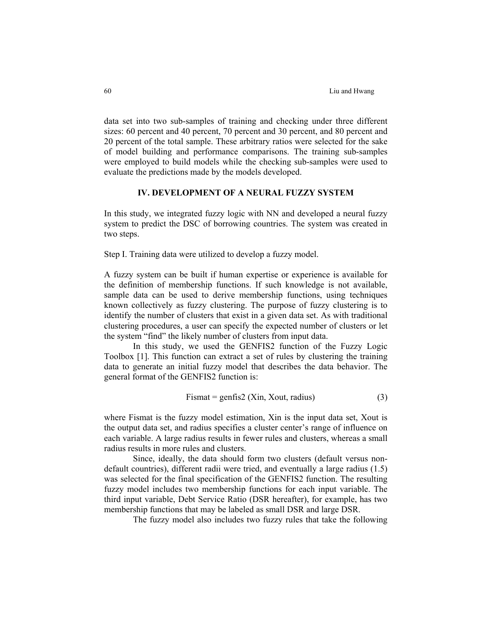data set into two sub-samples of training and checking under three different sizes: 60 percent and 40 percent, 70 percent and 30 percent, and 80 percent and 20 percent of the total sample. These arbitrary ratios were selected for the sake of model building and performance comparisons. The training sub-samples were employed to build models while the checking sub-samples were used to evaluate the predictions made by the models developed.

#### **IV. DEVELOPMENT OF A NEURAL FUZZY SYSTEM**

In this study, we integrated fuzzy logic with NN and developed a neural fuzzy system to predict the DSC of borrowing countries. The system was created in two steps.

Step I. Training data were utilized to develop a fuzzy model.

A fuzzy system can be built if human expertise or experience is available for the definition of membership functions. If such knowledge is not available, sample data can be used to derive membership functions, using techniques known collectively as fuzzy clustering. The purpose of fuzzy clustering is to identify the number of clusters that exist in a given data set. As with traditional clustering procedures, a user can specify the expected number of clusters or let the system "find" the likely number of clusters from input data.

In this study, we used the GENFIS2 function of the Fuzzy Logic Toolbox [1]. This function can extract a set of rules by clustering the training data to generate an initial fuzzy model that describes the data behavior. The general format of the GENFIS2 function is:

$$
Fismat = genfis2 (Xin, Xout, radius)
$$
 (3)

where Fismat is the fuzzy model estimation, Xin is the input data set, Xout is the output data set, and radius specifies a cluster center's range of influence on each variable. A large radius results in fewer rules and clusters, whereas a small radius results in more rules and clusters.

Since, ideally, the data should form two clusters (default versus nondefault countries), different radii were tried, and eventually a large radius (1.5) was selected for the final specification of the GENFIS2 function. The resulting fuzzy model includes two membership functions for each input variable. The third input variable, Debt Service Ratio (DSR hereafter), for example, has two membership functions that may be labeled as small DSR and large DSR.

The fuzzy model also includes two fuzzy rules that take the following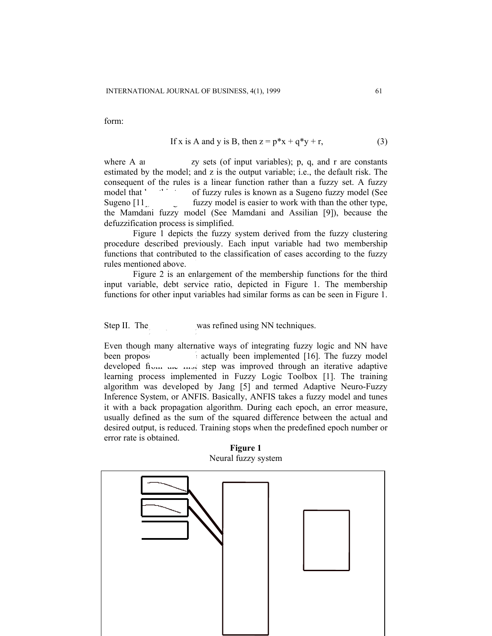form:

If x is A and y is B, then 
$$
z = p*x + q*y + r
$$
,  $(3)$ 

where A a<sub>1</sub> are  $\frac{dy}{dx}$  are  $\frac{dy}{dx}$  are  $\frac{dy}{dx}$  are  $\frac{dy}{dx}$  and  $\frac{dy}{dx}$  and  $\frac{dy}{dx}$  are constants estimated by the model; and z is the output variable; i.e., the default risk. The consequent of the rules is a linear function rather than a fuzzy set. A fuzzy model that **has the stupe of fuzzy rules is known as a Sugeno fuzzy model (See** Sugeno  $\begin{bmatrix} 11 \end{bmatrix}$  fuzzy model is easier to work with than the other type, the Mamdani fuzzy model (See Mamdani and Assilian [9]), because the defuzzification process is simplified.

Figure 1 depicts the fuzzy system derived from the fuzzy clustering procedure described previously. Each input variable had two membership functions that contributed to the classification of cases according to the fuzzy rules mentioned above.

Figure 2 is an enlargement of the membership functions for the third input variable, debt service ratio, depicted in Figure 1. The membership functions for other input variables had similar forms as can be seen in Figure 1.

Step II. The *model was refined using NN techniques.* 

Even though many alternative ways of integrating fuzzy logic and NN have been propose  $\bullet$  actually been implemented [16]. The fuzzy model developed from the first step was improved through an iterative adaptive learning process implemented in Fuzzy Logic Toolbox [1]. The training algorithm was developed by Jang [5] and termed Adaptive Neuro-Fuzzy Inference System, or ANFIS. Basically, ANFIS takes a fuzzy model and tunes it with a back propagation algorithm. During each epoch, an error measure, usually defined as the sum of the squared difference between the actual and desired output, is reduced. Training stops when the predefined epoch number or error rate is obtained.

**Figure 1** Neural fuzzy system

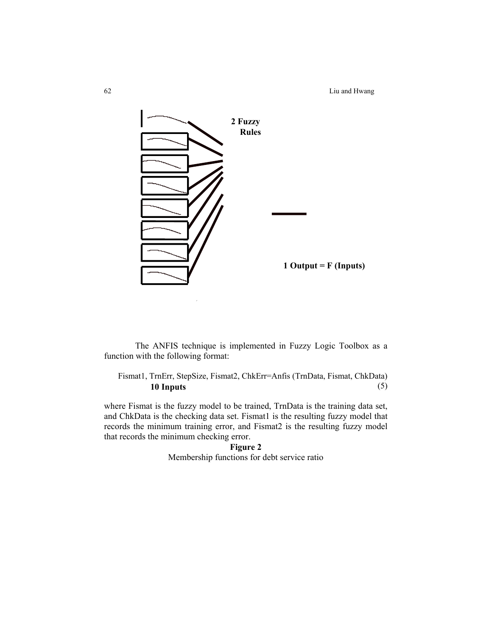62 Liu and Hwang



The ANFIS technique is implemented in Fuzzy Logic Toolbox as a function with the following format:

Fismat1, TrnErr, StepSize, Fismat2, ChkErr=Anfis (TrnData, Fismat, ChkData) **10 Inputs** (5)

where Fismat is the fuzzy model to be trained, TrnData is the training data set, and ChkData is the checking data set. Fismat1 is the resulting fuzzy model that records the minimum training error, and Fismat2 is the resulting fuzzy model that records the minimum checking error.

**Figure 2**  Membership functions for debt service ratio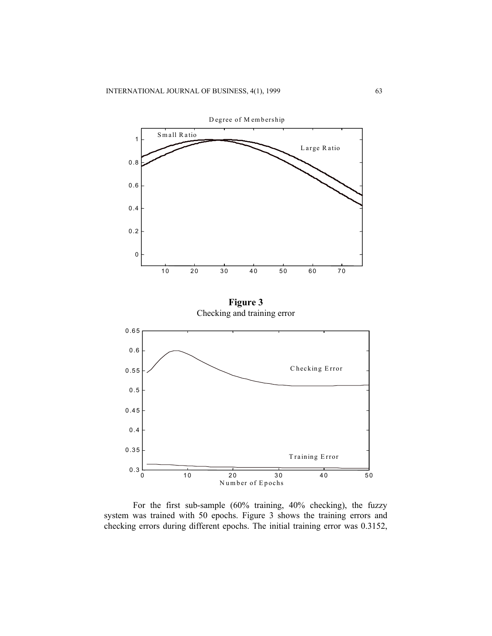

For the first sub-sample (60% training, 40% checking), the fuzzy system was trained with 50 epochs. Figure 3 shows the training errors and checking errors during different epochs. The initial training error was 0.3152,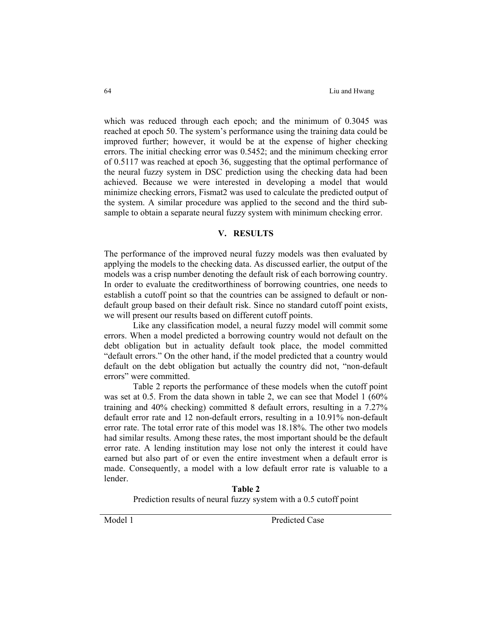which was reduced through each epoch; and the minimum of 0.3045 was reached at epoch 50. The system's performance using the training data could be improved further; however, it would be at the expense of higher checking errors. The initial checking error was 0.5452; and the minimum checking error of 0.5117 was reached at epoch 36, suggesting that the optimal performance of the neural fuzzy system in DSC prediction using the checking data had been achieved. Because we were interested in developing a model that would minimize checking errors, Fismat2 was used to calculate the predicted output of the system. A similar procedure was applied to the second and the third subsample to obtain a separate neural fuzzy system with minimum checking error.

## **V. RESULTS**

The performance of the improved neural fuzzy models was then evaluated by applying the models to the checking data. As discussed earlier, the output of the models was a crisp number denoting the default risk of each borrowing country. In order to evaluate the creditworthiness of borrowing countries, one needs to establish a cutoff point so that the countries can be assigned to default or nondefault group based on their default risk. Since no standard cutoff point exists, we will present our results based on different cutoff points.

Like any classification model, a neural fuzzy model will commit some errors. When a model predicted a borrowing country would not default on the debt obligation but in actuality default took place, the model committed "default errors." On the other hand, if the model predicted that a country would default on the debt obligation but actually the country did not, "non-default errors" were committed.

Table 2 reports the performance of these models when the cutoff point was set at 0.5. From the data shown in table 2, we can see that Model 1 (60%) training and 40% checking) committed 8 default errors, resulting in a 7.27% default error rate and 12 non-default errors, resulting in a 10.91% non-default error rate. The total error rate of this model was 18.18%. The other two models had similar results. Among these rates, the most important should be the default error rate. A lending institution may lose not only the interest it could have earned but also part of or even the entire investment when a default error is made. Consequently, a model with a low default error rate is valuable to a lender.

> **Table 2**  Prediction results of neural fuzzy system with a 0.5 cutoff point

Model 1 Predicted Case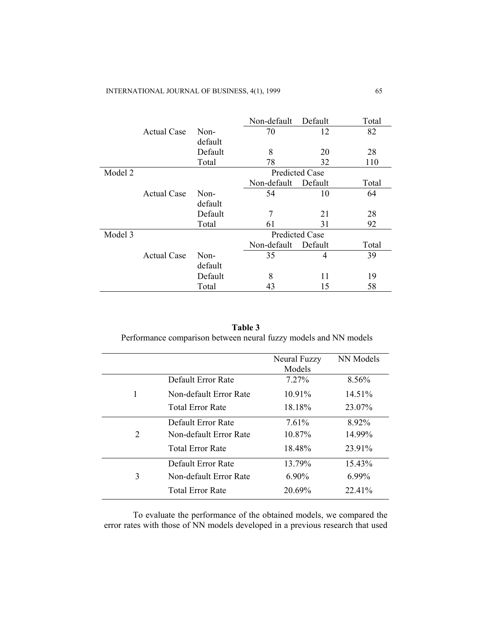|         |                    |         | Non-default           | Default | Total |  |  |
|---------|--------------------|---------|-----------------------|---------|-------|--|--|
|         | <b>Actual Case</b> | Non-    | 70<br>12              |         | 82    |  |  |
|         |                    | default |                       |         |       |  |  |
|         |                    | Default | 8                     | 20      | 28    |  |  |
|         |                    | Total   | 78                    | 32      | 110   |  |  |
| Model 2 |                    |         | <b>Predicted Case</b> |         |       |  |  |
|         |                    |         | Non-default           | Default | Total |  |  |
|         | <b>Actual Case</b> | Non-    | 54                    | 10      | 64    |  |  |
|         |                    | default |                       |         |       |  |  |
|         |                    | Default | 7                     | 21      | 28    |  |  |
|         |                    | Total   | 61                    | 31      | 92    |  |  |
| Model 3 |                    |         | <b>Predicted Case</b> |         |       |  |  |
|         |                    |         | Non-default           | Default | Total |  |  |
|         | <b>Actual Case</b> | Non-    | 35                    | 4       | 39    |  |  |
|         |                    | default |                       |         |       |  |  |
|         |                    | Default | 8                     | 11      | 19    |  |  |
|         |                    | Total   | 43                    | 15      | 58    |  |  |

**Table 3**  Performance comparison between neural fuzzy models and NN models

|                         | <b>Neural Fuzzy</b> | NN Models |
|-------------------------|---------------------|-----------|
|                         | Models              |           |
| Default Error Rate      | $7.27\%$            | 8.56%     |
| Non-default Error Rate  | $10.91\%$           | 14.51%    |
| <b>Total Error Rate</b> | 18.18%              | 23.07%    |
| Default Error Rate      | 7.61%               | 8.92%     |
| Non-default Error Rate  | $10.87\%$           | 14.99%    |
| <b>Total Error Rate</b> | 18.48%              | 23.91%    |
| Default Error Rate      | 13.79%              | 15.43%    |
| Non-default Error Rate  | $6.90\%$            | $6.99\%$  |
| Total Error Rate        | 20.69%              | 22.41%    |
|                         |                     |           |

To evaluate the performance of the obtained models, we compared the error rates with those of NN models developed in a previous research that used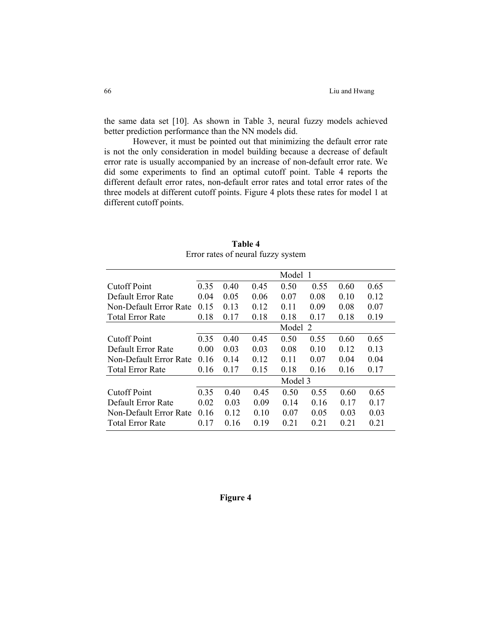the same data set [10]. As shown in Table 3, neural fuzzy models achieved better prediction performance than the NN models did.

However, it must be pointed out that minimizing the default error rate is not the only consideration in model building because a decrease of default error rate is usually accompanied by an increase of non-default error rate. We did some experiments to find an optimal cutoff point. Table 4 reports the different default error rates, non-default error rates and total error rates of the three models at different cutoff points. Figure 4 plots these rates for model 1 at different cutoff points.

|                         | Model 1 |      |      |      |      |      |      |
|-------------------------|---------|------|------|------|------|------|------|
| <b>Cutoff Point</b>     | 0.35    | 0.40 | 0.45 | 0.50 | 0.55 | 0.60 | 0.65 |
| Default Error Rate      | 0.04    | 0.05 | 0.06 | 0.07 | 0.08 | 010  | 0.12 |
| Non-Default Error Rate  | 0.15    | 0.13 | 0.12 | 0.11 | 0.09 | 0.08 | 0.07 |
| <b>Total Error Rate</b> | 0.18    | 0.17 | 0.18 | 0.18 | 0.17 | 0.18 | 0.19 |
|                         | Model 2 |      |      |      |      |      |      |
| <b>Cutoff Point</b>     | 0.35    | 0.40 | 0.45 | 0.50 | 0.55 | 0.60 | 0.65 |
| Default Error Rate      | 0.00    | 0.03 | 0.03 | 0.08 | 0.10 | 0.12 | 0.13 |
| Non-Default Error Rate  | 0.16    | 0.14 | 0.12 | 0.11 | 0.07 | 0.04 | 0.04 |
| <b>Total Error Rate</b> | 0.16    | 0.17 | 0.15 | 0.18 | 0.16 | 0.16 | 0.17 |
|                         | Model 3 |      |      |      |      |      |      |
| <b>Cutoff Point</b>     | 0.35    | 0.40 | 0.45 | 0.50 | 0.55 | 0.60 | 0.65 |
| Default Error Rate      | 0.02    | 0.03 | 0.09 | 0.14 | 016  | 0.17 | 0.17 |
| Non-Default Error Rate  | 0.16    | 0.12 | 0.10 | 0.07 | 0.05 | 0.03 | 0.03 |
| Total Error Rate        | 0.17    | 0.16 | 0.19 | 0.21 | 0.21 | 0.21 | 0.21 |

**Table 4**  Error rates of neural fuzzy system

## **Figure 4**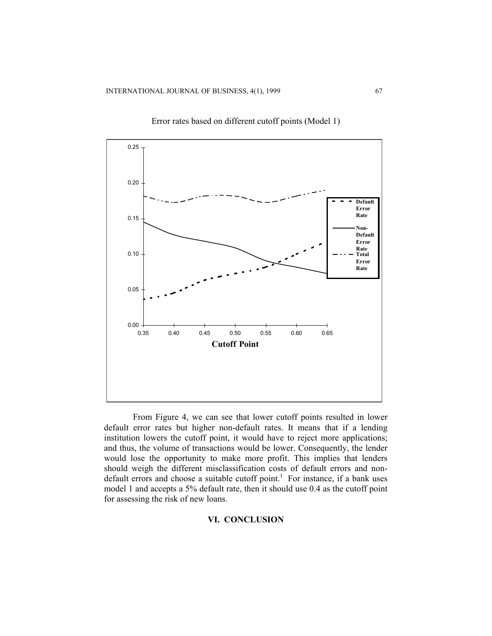

Error rates based on different cutoff points (Model 1)

From Figure 4, we can see that lower cutoff points resulted in lower default error rates but higher non-default rates. It means that if a lending institution lowers the cutoff point, it would have to reject more applications; and thus, the volume of transactions would be lower. Consequently, the lender would lose the opportunity to make more profit. This implies that lenders should weigh the different misclassification costs of default errors and nondefault errors and choose a suitable cutoff point.<sup>1</sup> For instance, if a bank uses model 1 and accepts a 5% default rate, then it should use 0.4 as the cutoff point for assessing the risk of new loans.

#### **VI. CONCLUSION**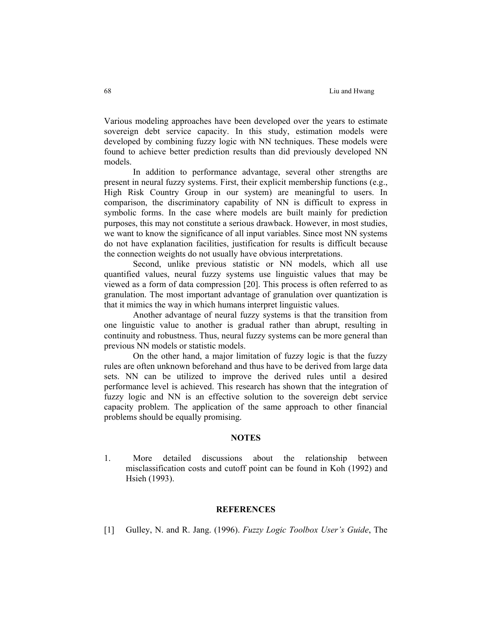Various modeling approaches have been developed over the years to estimate sovereign debt service capacity. In this study, estimation models were developed by combining fuzzy logic with NN techniques. These models were found to achieve better prediction results than did previously developed NN models.

In addition to performance advantage, several other strengths are present in neural fuzzy systems. First, their explicit membership functions (e.g., High Risk Country Group in our system) are meaningful to users. In comparison, the discriminatory capability of NN is difficult to express in symbolic forms. In the case where models are built mainly for prediction purposes, this may not constitute a serious drawback. However, in most studies, we want to know the significance of all input variables. Since most NN systems do not have explanation facilities, justification for results is difficult because the connection weights do not usually have obvious interpretations.

Second, unlike previous statistic or NN models, which all use quantified values, neural fuzzy systems use linguistic values that may be viewed as a form of data compression [20]. This process is often referred to as granulation. The most important advantage of granulation over quantization is that it mimics the way in which humans interpret linguistic values.

Another advantage of neural fuzzy systems is that the transition from one linguistic value to another is gradual rather than abrupt, resulting in continuity and robustness. Thus, neural fuzzy systems can be more general than previous NN models or statistic models.

On the other hand, a major limitation of fuzzy logic is that the fuzzy rules are often unknown beforehand and thus have to be derived from large data sets. NN can be utilized to improve the derived rules until a desired performance level is achieved. This research has shown that the integration of fuzzy logic and NN is an effective solution to the sovereign debt service capacity problem. The application of the same approach to other financial problems should be equally promising.

## **NOTES**

1. More detailed discussions about the relationship between misclassification costs and cutoff point can be found in Koh (1992) and Hsieh (1993).

## **REFERENCES**

[1] Gulley, N. and R. Jang. (1996). *Fuzzy Logic Toolbox User's Guide*, The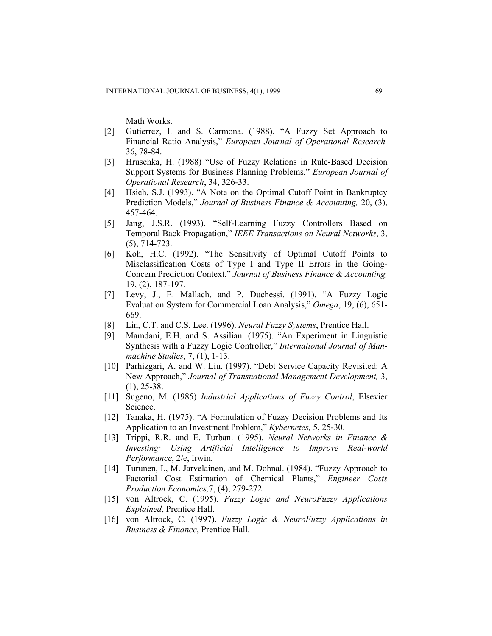Math Works.

- [2] Gutierrez, I. and S. Carmona. (1988). "A Fuzzy Set Approach to Financial Ratio Analysis," *European Journal of Operational Research,*  36, 78-84.
- [3] Hruschka, H. (1988) "Use of Fuzzy Relations in Rule-Based Decision Support Systems for Business Planning Problems," *European Journal of Operational Research*, 34, 326-33.
- [4] Hsieh, S.J. (1993). "A Note on the Optimal Cutoff Point in Bankruptcy Prediction Models," *Journal of Business Finance & Accounting,* 20, (3), 457-464.
- [5] Jang, J.S.R. (1993). "Self-Learning Fuzzy Controllers Based on Temporal Back Propagation," *IEEE Transactions on Neural Networks*, 3, (5), 714-723.
- [6] Koh, H.C. (1992). "The Sensitivity of Optimal Cutoff Points to Misclassification Costs of Type I and Type II Errors in the Going-Concern Prediction Context," *Journal of Business Finance & Accounting,* 19, (2), 187-197.
- [7] Levy, J., E. Mallach, and P. Duchessi. (1991). "A Fuzzy Logic Evaluation System for Commercial Loan Analysis," *Omega*, 19, (6), 651- 669.
- [8] Lin, C.T. and C.S. Lee. (1996). *Neural Fuzzy Systems*, Prentice Hall.
- [9] Mamdani, E.H. and S. Assilian. (1975). "An Experiment in Linguistic Synthesis with a Fuzzy Logic Controller," *International Journal of Manmachine Studies*, 7, (1), 1-13.
- [10] Parhizgari, A. and W. Liu. (1997). "Debt Service Capacity Revisited: A New Approach," *Journal of Transnational Management Development,* 3,  $(1), 25-38.$
- [11] Sugeno, M. (1985) *Industrial Applications of Fuzzy Control*, Elsevier Science.
- [12] Tanaka, H. (1975). "A Formulation of Fuzzy Decision Problems and Its Application to an Investment Problem," *Kybernetes,* 5, 25-30.
- [13] Trippi, R.R. and E. Turban. (1995). *Neural Networks in Finance & Investing: Using Artificial Intelligence to Improve Real-world Performance*, 2/e, Irwin.
- [14] Turunen, I., M. Jarvelainen, and M. Dohnal. (1984). "Fuzzy Approach to Factorial Cost Estimation of Chemical Plants," *Engineer Costs Production Economics,*7, (4), 279-272.
- [15] von Altrock, C. (1995). *Fuzzy Logic and NeuroFuzzy Applications Explained*, Prentice Hall.
- [16] von Altrock, C. (1997). *Fuzzy Logic & NeuroFuzzy Applications in Business & Finance*, Prentice Hall.